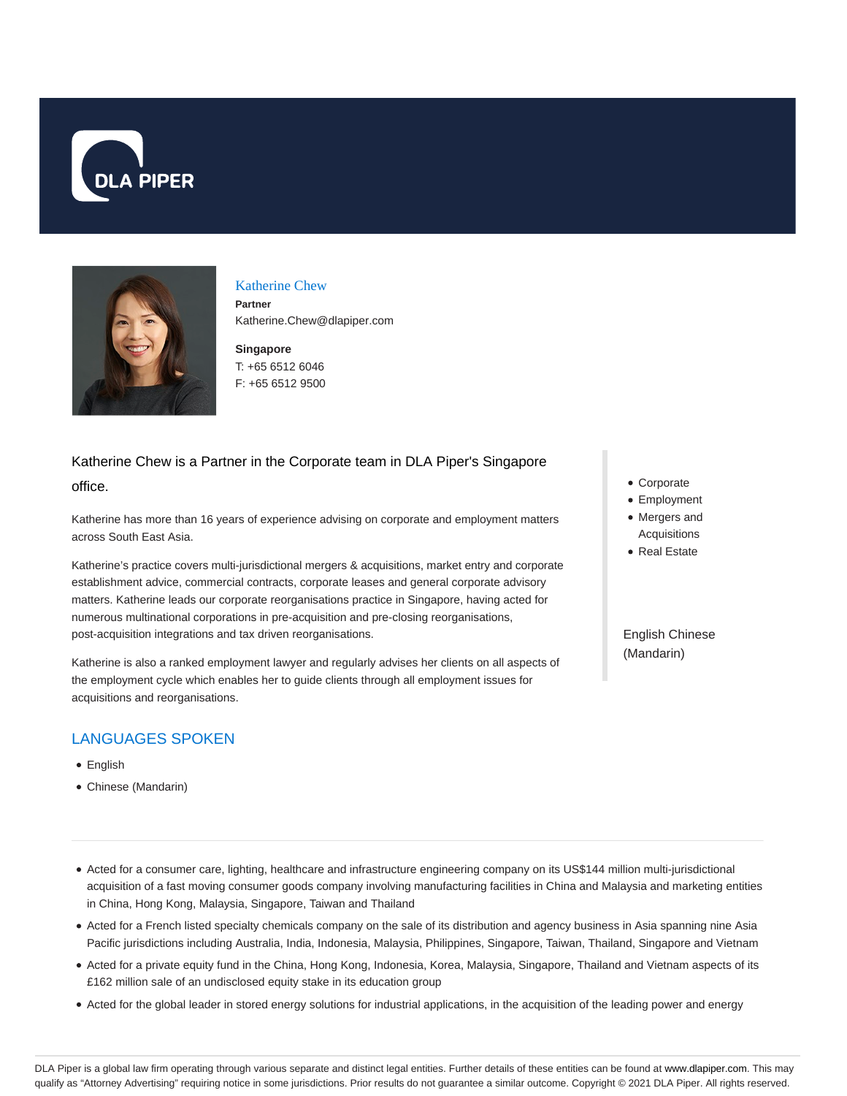



#### Katherine Chew

**Partner** Katherine.Chew@dlapiper.com

**Singapore** T: +65 6512 6046 F: +65 6512 9500

# Katherine Chew is a Partner in the Corporate team in DLA Piper's Singapore office.

Katherine has more than 16 years of experience advising on corporate and employment matters across South East Asia.

Katherine's practice covers multi-jurisdictional mergers & acquisitions, market entry and corporate establishment advice, commercial contracts, corporate leases and general corporate advisory matters. Katherine leads our corporate reorganisations practice in Singapore, having acted for numerous multinational corporations in pre-acquisition and pre-closing reorganisations, post-acquisition integrations and tax driven reorganisations.

Katherine is also a ranked employment lawyer and regularly advises her clients on all aspects of the employment cycle which enables her to guide clients through all employment issues for acquisitions and reorganisations.

# LANGUAGES SPOKEN

- English
- Chinese (Mandarin)
- Corporate
- Employment
- Mergers and Acquisitions
- Real Estate

English Chinese (Mandarin)

- Acted for a consumer care, lighting, healthcare and infrastructure engineering company on its US\$144 million multi-jurisdictional acquisition of a fast moving consumer goods company involving manufacturing facilities in China and Malaysia and marketing entities in China, Hong Kong, Malaysia, Singapore, Taiwan and Thailand
- Acted for a French listed specialty chemicals company on the sale of its distribution and agency business in Asia spanning nine Asia Pacific jurisdictions including Australia, India, Indonesia, Malaysia, Philippines, Singapore, Taiwan, Thailand, Singapore and Vietnam
- Acted for a private equity fund in the China, Hong Kong, Indonesia, Korea, Malaysia, Singapore, Thailand and Vietnam aspects of its £162 million sale of an undisclosed equity stake in its education group
- Acted for the global leader in stored energy solutions for industrial applications, in the acquisition of the leading power and energy

DLA Piper is a global law firm operating through various separate and distinct legal entities. Further details of these entities can be found at www.dlapiper.com. This may qualify as "Attorney Advertising" requiring notice in some jurisdictions. Prior results do not guarantee a similar outcome. Copyright @ 2021 DLA Piper. All rights reserved.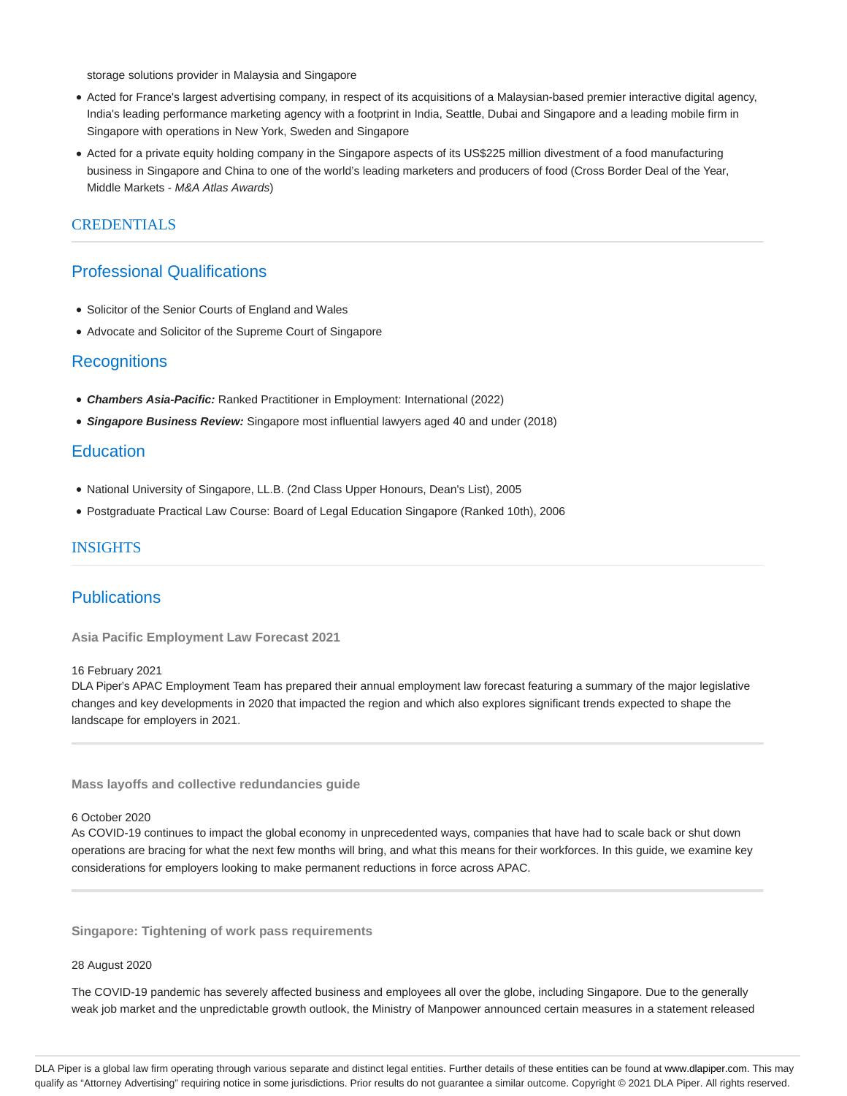storage solutions provider in Malaysia and Singapore

- Acted for France's largest advertising company, in respect of its acquisitions of a Malaysian-based premier interactive digital agency, India's leading performance marketing agency with a footprint in India, Seattle, Dubai and Singapore and a leading mobile firm in Singapore with operations in New York, Sweden and Singapore
- Acted for a private equity holding company in the Singapore aspects of its US\$225 million divestment of a food manufacturing business in Singapore and China to one of the world's leading marketers and producers of food (Cross Border Deal of the Year, Middle Markets - M&A Atlas Awards)

## CREDENTIALS

## Professional Qualifications

- Solicitor of the Senior Courts of England and Wales
- Advocate and Solicitor of the Supreme Court of Singapore

#### **Recognitions**

- **Chambers Asia-Pacific:** Ranked Practitioner in Employment: International (2022)
- **Singapore Business Review:** Singapore most influential lawyers aged 40 and under (2018)

## **Education**

- National University of Singapore, LL.B. (2nd Class Upper Honours, Dean's List), 2005
- Postgraduate Practical Law Course: Board of Legal Education Singapore (Ranked 10th), 2006

#### INSIGHTS

## **Publications**

**Asia Pacific Employment Law Forecast 2021**

#### 16 February 2021

DLA Piper's APAC Employment Team has prepared their annual employment law forecast featuring a summary of the major legislative changes and key developments in 2020 that impacted the region and which also explores significant trends expected to shape the landscape for employers in 2021.

**Mass layoffs and collective redundancies guide**

#### 6 October 2020

As COVID-19 continues to impact the global economy in unprecedented ways, companies that have had to scale back or shut down operations are bracing for what the next few months will bring, and what this means for their workforces. In this guide, we examine key considerations for employers looking to make permanent reductions in force across APAC.

**Singapore: Tightening of work pass requirements**

28 August 2020

The COVID-19 pandemic has severely affected business and employees all over the globe, including Singapore. Due to the generally weak job market and the unpredictable growth outlook, the Ministry of Manpower announced certain measures in a statement released

DLA Piper is a global law firm operating through various separate and distinct legal entities. Further details of these entities can be found at www.dlapiper.com. This may qualify as "Attorney Advertising" requiring notice in some jurisdictions. Prior results do not guarantee a similar outcome. Copyright © 2021 DLA Piper. All rights reserved.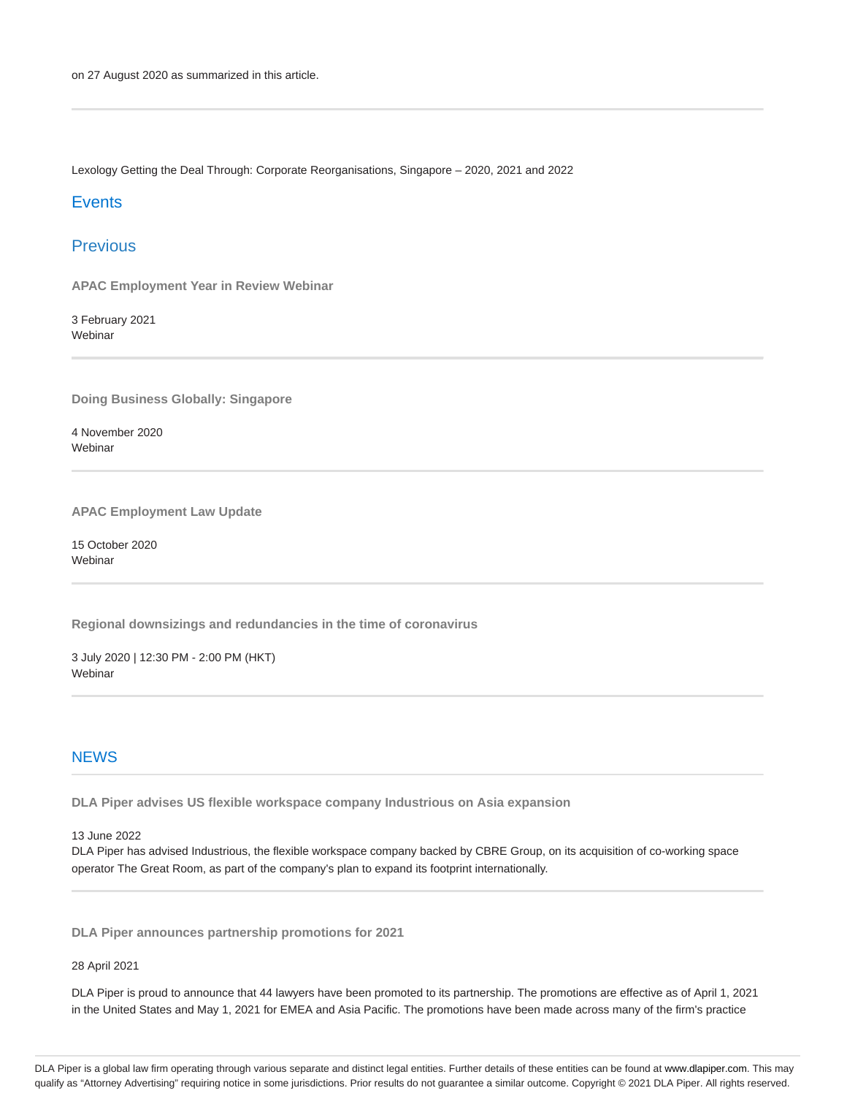Lexology Getting the Deal Through: Corporate Reorganisations, Singapore – 2020, 2021 and 2022

## **Events**

# Previous

**APAC Employment Year in Review Webinar**

3 February 2021 Webinar

**Doing Business Globally: Singapore**

4 November 2020 Webinar

**APAC Employment Law Update**

15 October 2020 Webinar

**Regional downsizings and redundancies in the time of coronavirus**

3 July 2020 | 12:30 PM - 2:00 PM (HKT) Webinar

#### **NFWS**

**DLA Piper advises US flexible workspace company Industrious on Asia expansion**

13 June 2022

DLA Piper has advised Industrious, the flexible workspace company backed by CBRE Group, on its acquisition of co-working space operator The Great Room, as part of the company's plan to expand its footprint internationally.

**DLA Piper announces partnership promotions for 2021**

28 April 2021

DLA Piper is proud to announce that 44 lawyers have been promoted to its partnership. The promotions are effective as of April 1, 2021 in the United States and May 1, 2021 for EMEA and Asia Pacific. The promotions have been made across many of the firm's practice

DLA Piper is a global law firm operating through various separate and distinct legal entities. Further details of these entities can be found at www.dlapiper.com. This may qualify as "Attorney Advertising" requiring notice in some jurisdictions. Prior results do not guarantee a similar outcome. Copyright © 2021 DLA Piper. All rights reserved.